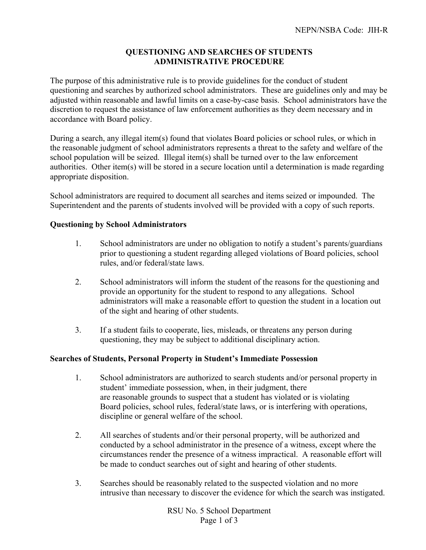# **QUESTIONING AND SEARCHES OF STUDENTS ADMINISTRATIVE PROCEDURE**

The purpose of this administrative rule is to provide guidelines for the conduct of student questioning and searches by authorized school administrators. These are guidelines only and may be adjusted within reasonable and lawful limits on a case-by-case basis. School administrators have the discretion to request the assistance of law enforcement authorities as they deem necessary and in accordance with Board policy.

During a search, any illegal item(s) found that violates Board policies or school rules, or which in the reasonable judgment of school administrators represents a threat to the safety and welfare of the school population will be seized. Illegal item(s) shall be turned over to the law enforcement authorities. Other item(s) will be stored in a secure location until a determination is made regarding appropriate disposition.

School administrators are required to document all searches and items seized or impounded. The Superintendent and the parents of students involved will be provided with a copy of such reports.

### **Questioning by School Administrators**

- 1. School administrators are under no obligation to notify a student's parents/guardians prior to questioning a student regarding alleged violations of Board policies, school rules, and/or federal/state laws.
- 2. School administrators will inform the student of the reasons for the questioning and provide an opportunity for the student to respond to any allegations. School administrators will make a reasonable effort to question the student in a location out of the sight and hearing of other students.
- 3. If a student fails to cooperate, lies, misleads, or threatens any person during questioning, they may be subject to additional disciplinary action.

### **Searches of Students, Personal Property in Student's Immediate Possession**

- 1. School administrators are authorized to search students and/or personal property in student' immediate possession, when, in their judgment, there are reasonable grounds to suspect that a student has violated or is violating Board policies, school rules, federal/state laws, or is interfering with operations, discipline or general welfare of the school.
- 2. All searches of students and/or their personal property, will be authorized and conducted by a school administrator in the presence of a witness, except where the circumstances render the presence of a witness impractical. A reasonable effort will be made to conduct searches out of sight and hearing of other students.
- 3. Searches should be reasonably related to the suspected violation and no more intrusive than necessary to discover the evidence for which the search was instigated.

RSU No. 5 School Department Page 1 of 3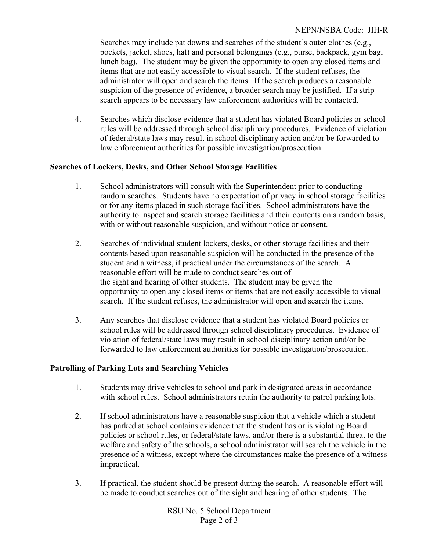Searches may include pat downs and searches of the student's outer clothes (e.g., pockets, jacket, shoes, hat) and personal belongings (e.g., purse, backpack, gym bag, lunch bag). The student may be given the opportunity to open any closed items and items that are not easily accessible to visual search. If the student refuses, the administrator will open and search the items. If the search produces a reasonable suspicion of the presence of evidence, a broader search may be justified. If a strip search appears to be necessary law enforcement authorities will be contacted.

4. Searches which disclose evidence that a student has violated Board policies or school rules will be addressed through school disciplinary procedures. Evidence of violation of federal/state laws may result in school disciplinary action and/or be forwarded to law enforcement authorities for possible investigation/prosecution.

### **Searches of Lockers, Desks, and Other School Storage Facilities**

- 1. School administrators will consult with the Superintendent prior to conducting random searches. Students have no expectation of privacy in school storage facilities or for any items placed in such storage facilities. School administrators have the authority to inspect and search storage facilities and their contents on a random basis, with or without reasonable suspicion, and without notice or consent.
- 2. Searches of individual student lockers, desks, or other storage facilities and their contents based upon reasonable suspicion will be conducted in the presence of the student and a witness, if practical under the circumstances of the search. A reasonable effort will be made to conduct searches out of the sight and hearing of other students. The student may be given the opportunity to open any closed items or items that are not easily accessible to visual search. If the student refuses, the administrator will open and search the items.
- 3. Any searches that disclose evidence that a student has violated Board policies or school rules will be addressed through school disciplinary procedures. Evidence of violation of federal/state laws may result in school disciplinary action and/or be forwarded to law enforcement authorities for possible investigation/prosecution.

# **Patrolling of Parking Lots and Searching Vehicles**

- 1. Students may drive vehicles to school and park in designated areas in accordance with school rules. School administrators retain the authority to patrol parking lots.
- 2. If school administrators have a reasonable suspicion that a vehicle which a student has parked at school contains evidence that the student has or is violating Board policies or school rules, or federal/state laws, and/or there is a substantial threat to the welfare and safety of the schools, a school administrator will search the vehicle in the presence of a witness, except where the circumstances make the presence of a witness impractical.
- 3. If practical, the student should be present during the search. A reasonable effort will be made to conduct searches out of the sight and hearing of other students. The

RSU No. 5 School Department Page 2 of 3